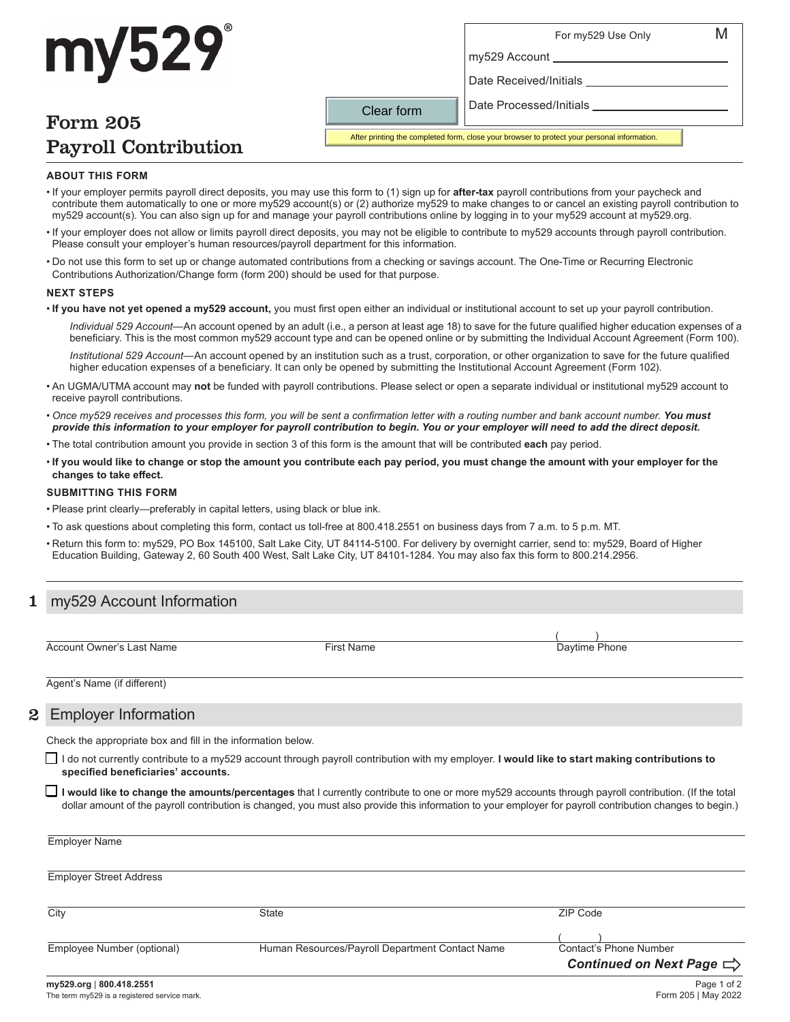## For my529 Use Only M

# my529 Account

Date Received/Initials

Date Processed/Initials

# Form 205 Payroll Contribution

my529

After printing the completed form, close your browser to protect your personal information.

#### **ABOUT THIS FORM**

• If your employer permits payroll direct deposits, you may use this form to (1) sign up for **after-tax** payroll contributions from your paycheck and contribute them automatically to one or more my529 account(s) or (2) authorize my529 to make changes to or cancel an existing payroll contribution to my529 account(s). You can also sign up for and manage your payroll contributions online by logging in to your my529 account at my529.org.

Clear form

- If your employer does not allow or limits payroll direct deposits, you may not be eligible to contribute to my529 accounts through payroll contribution. Please consult your employer's human resources/payroll department for this information.
- Do not use this form to set up or change automated contributions from a checking or savings account. The One-Time or Recurring Electronic Contributions Authorization/Change form (form 200) should be used for that purpose.

#### **NEXT STEPS**

• **If you have not yet opened a my529 account,** you must first open either an individual or institutional account to set up your payroll contribution.

*Individual 529 Account*—An account opened by an adult (i.e., a person at least age 18) to save for the future qualified higher education expenses of a beneficiary. This is the most common my529 account type and can be opened online or by submitting the Individual Account Agreement (Form 100).

*Institutional 529 Account*—An account opened by an institution such as a trust, corporation, or other organization to save for the future qualified higher education expenses of a beneficiary. It can only be opened by submitting the Institutional Account Agreement (Form 102).

- An UGMA/UTMA account may **not** be funded with payroll contributions. Please select or open a separate individual or institutional my529 account to receive payroll contributions.
- *Once my529 receives and processes this form, you will be sent a confirmation letter with a routing number and bank account number. You must provide this information to your employer for payroll contribution to begin. You or your employer will need to add the direct deposit.*
- The total contribution amount you provide in section 3 of this form is the amount that will be contributed **each** pay period.
- **If you would like to change or stop the amount you contribute each pay period, you must change the amount with your employer for the changes to take effect.**

#### **SUBMITTING THIS FORM**

- Please print clearly—preferably in capital letters, using black or blue ink.
- To ask questions about completing this form, contact us toll-free at 800.418.2551 on business days from 7 a.m. to 5 p.m. MT.
- Return this form to: my529, PO Box 145100, Salt Lake City, UT 84114-5100. For delivery by overnight carrier, send to: my529, Board of Higher Education Building, Gateway 2, 60 South 400 West, Salt Lake City, UT 84101-1284. You may also fax this form to 800.214.2956.

### my529 Account Information

Account Owner's Last Name **First Name** First Name **First Name** Daytime Phone

 $($  )

Agent's Name (if different)

### 2 Employer Information

Check the appropriate box and fill in the information below.

 I do not currently contribute to a my529 account through payroll contribution with my employer. **I would like to start making contributions to specified beneficiaries' accounts.**

 **I would like to change the amounts/percentages** that I currently contribute to one or more my529 accounts through payroll contribution. (If the total dollar amount of the payroll contribution is changed, you must also provide this information to your employer for payroll contribution changes to begin.)

| <b>Employer Name</b>           |                                                 |                                      |
|--------------------------------|-------------------------------------------------|--------------------------------------|
| <b>Employer Street Address</b> |                                                 |                                      |
| City                           | <b>State</b>                                    | ZIP Code                             |
|                                |                                                 |                                      |
| Employee Number (optional)     | Human Resources/Payroll Department Contact Name | Contact's Phone Number               |
|                                |                                                 | Continued on Next Page $\Rightarrow$ |
| my529.org   800.418.2551       |                                                 | Page 1 of 2                          |